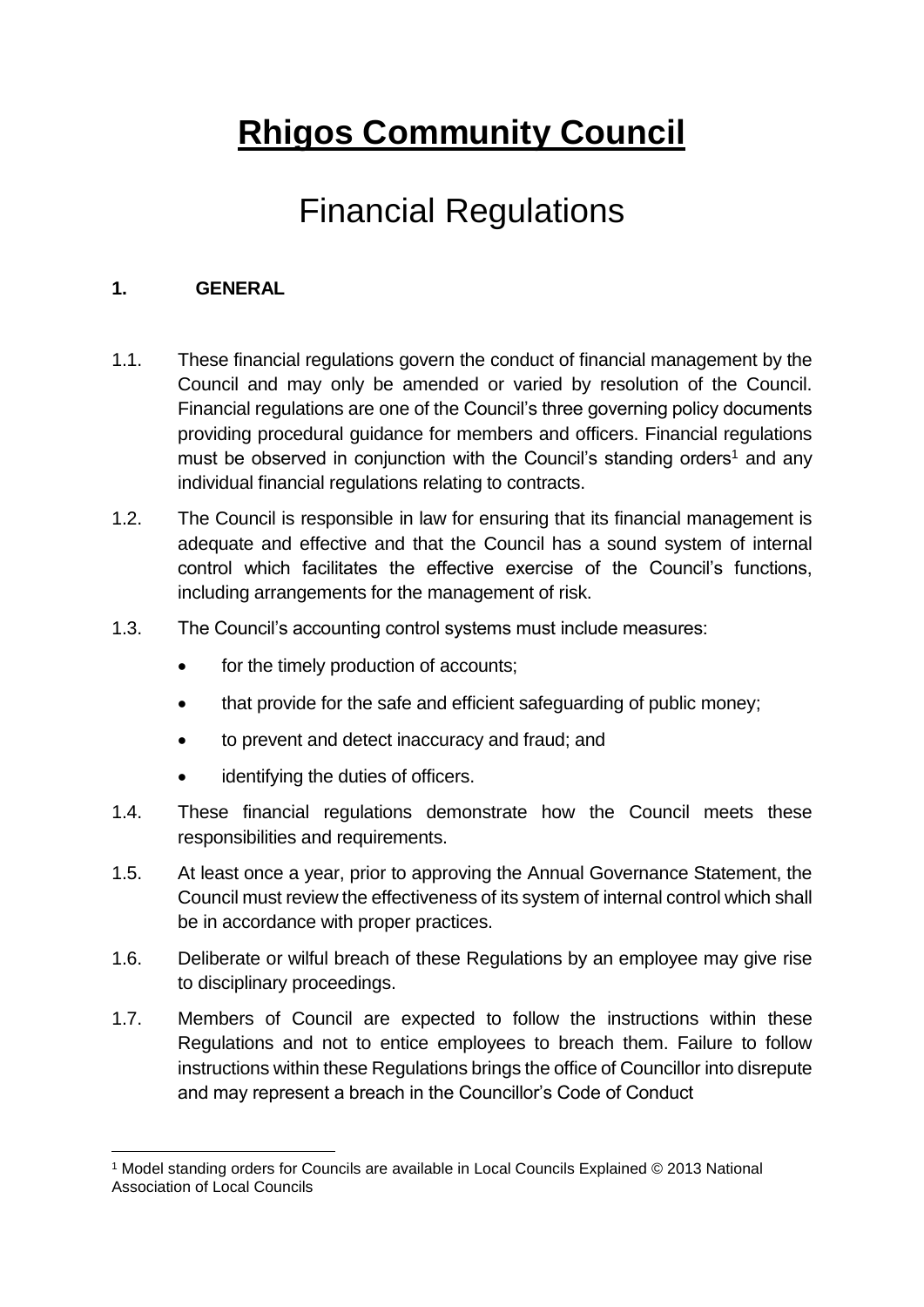# **Rhigos Community Council**

## Financial Regulations

#### **1. GENERAL**

- 1.1. These financial regulations govern the conduct of financial management by the Council and may only be amended or varied by resolution of the Council. Financial regulations are one of the Council's three governing policy documents providing procedural guidance for members and officers. Financial regulations must be observed in conjunction with the Council's standing orders<sup>1</sup> and any individual financial regulations relating to contracts.
- 1.2. The Council is responsible in law for ensuring that its financial management is adequate and effective and that the Council has a sound system of internal control which facilitates the effective exercise of the Council's functions, including arrangements for the management of risk.
- 1.3. The Council's accounting control systems must include measures:
	- for the timely production of accounts;
	- that provide for the safe and efficient safeguarding of public money;
	- to prevent and detect inaccuracy and fraud; and
	- identifying the duties of officers.
- 1.4. These financial regulations demonstrate how the Council meets these responsibilities and requirements.
- 1.5. At least once a year, prior to approving the Annual Governance Statement, the Council must review the effectiveness of its system of internal control which shall be in accordance with proper practices.
- 1.6. Deliberate or wilful breach of these Regulations by an employee may give rise to disciplinary proceedings.
- 1.7. Members of Council are expected to follow the instructions within these Regulations and not to entice employees to breach them. Failure to follow instructions within these Regulations brings the office of Councillor into disrepute and may represent a breach in the Councillor's Code of Conduct

<sup>1</sup> <sup>1</sup> Model standing orders for Councils are available in Local Councils Explained © 2013 National Association of Local Councils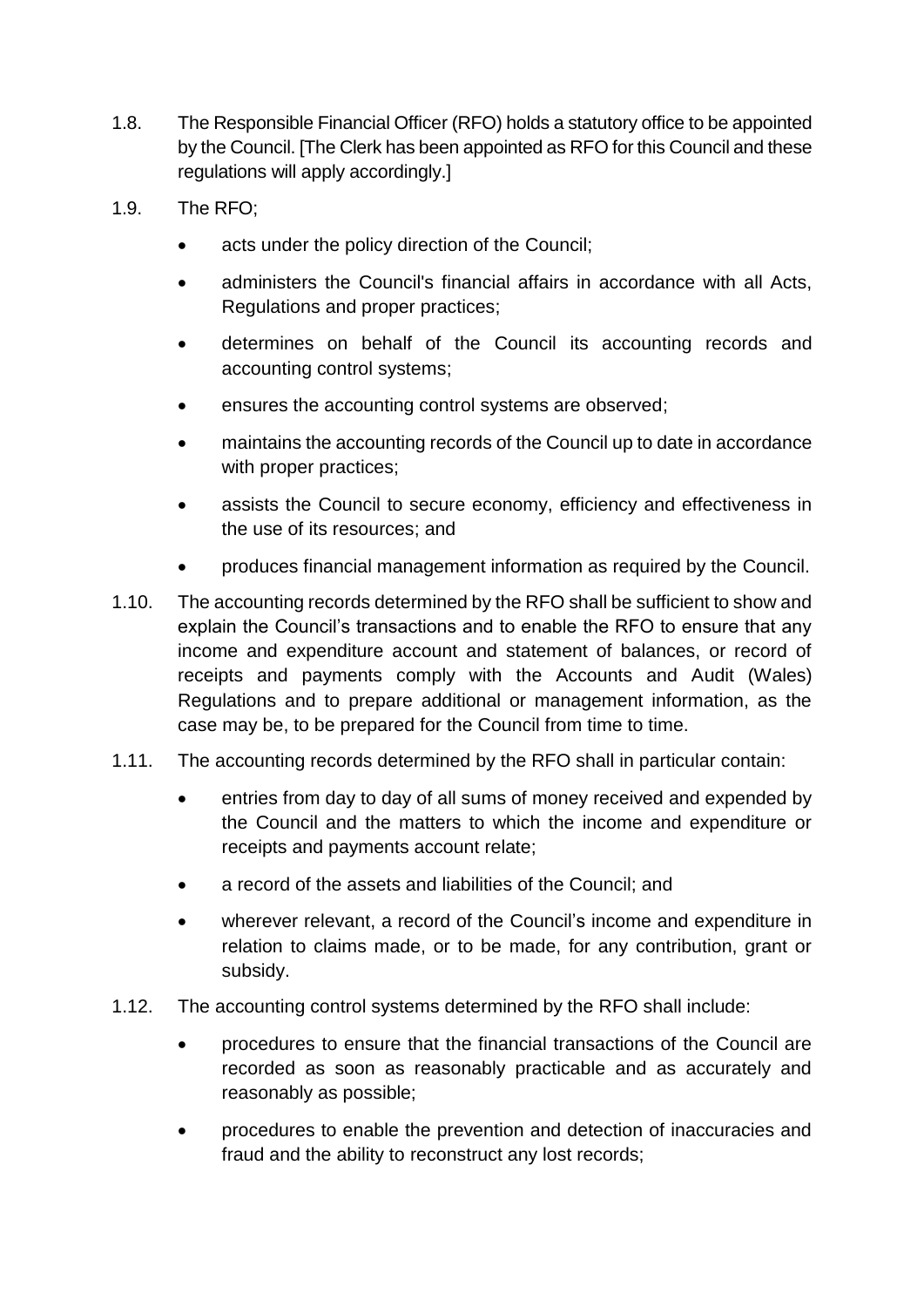- 1.8. The Responsible Financial Officer (RFO) holds a statutory office to be appointed by the Council. [The Clerk has been appointed as RFO for this Council and these regulations will apply accordingly.]
- 1.9. The RFO;
	- acts under the policy direction of the Council;
	- administers the Council's financial affairs in accordance with all Acts, Regulations and proper practices;
	- determines on behalf of the Council its accounting records and accounting control systems;
	- ensures the accounting control systems are observed;
	- maintains the accounting records of the Council up to date in accordance with proper practices;
	- assists the Council to secure economy, efficiency and effectiveness in the use of its resources; and
	- produces financial management information as required by the Council.
- 1.10. The accounting records determined by the RFO shall be sufficient to show and explain the Council's transactions and to enable the RFO to ensure that any income and expenditure account and statement of balances, or record of receipts and payments comply with the Accounts and Audit (Wales) Regulations and to prepare additional or management information, as the case may be, to be prepared for the Council from time to time.
- 1.11. The accounting records determined by the RFO shall in particular contain:
	- entries from day to day of all sums of money received and expended by the Council and the matters to which the income and expenditure or receipts and payments account relate;
	- a record of the assets and liabilities of the Council; and
	- wherever relevant, a record of the Council's income and expenditure in relation to claims made, or to be made, for any contribution, grant or subsidy.
- 1.12. The accounting control systems determined by the RFO shall include:
	- procedures to ensure that the financial transactions of the Council are recorded as soon as reasonably practicable and as accurately and reasonably as possible;
	- procedures to enable the prevention and detection of inaccuracies and fraud and the ability to reconstruct any lost records;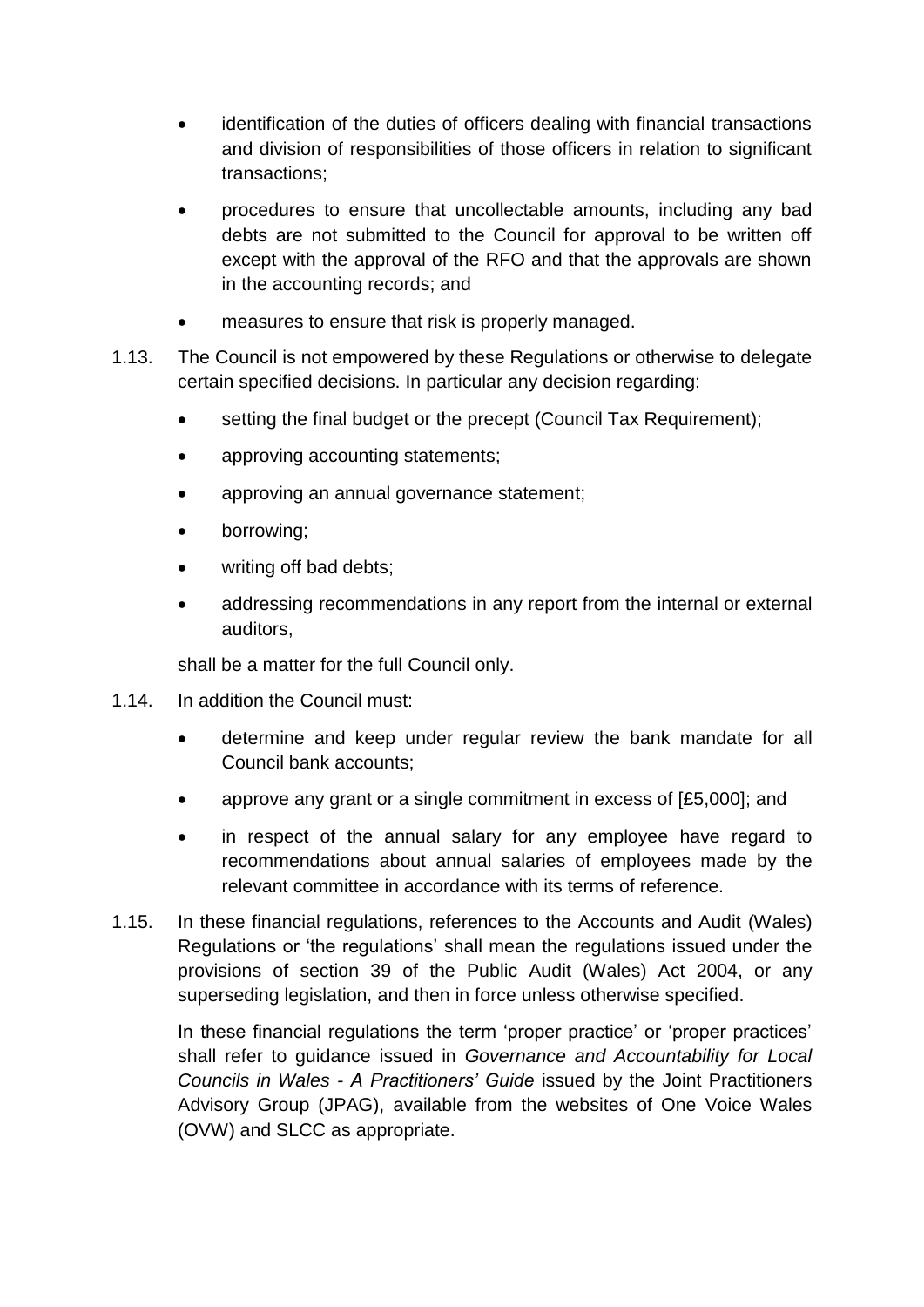- identification of the duties of officers dealing with financial transactions and division of responsibilities of those officers in relation to significant transactions;
- procedures to ensure that uncollectable amounts, including any bad debts are not submitted to the Council for approval to be written off except with the approval of the RFO and that the approvals are shown in the accounting records; and
- measures to ensure that risk is properly managed.
- 1.13. The Council is not empowered by these Regulations or otherwise to delegate certain specified decisions. In particular any decision regarding:
	- setting the final budget or the precept (Council Tax Requirement);
	- approving accounting statements;
	- approving an annual governance statement;
	- borrowing;
	- writing off bad debts;
	- addressing recommendations in any report from the internal or external auditors,

shall be a matter for the full Council only.

- 1.14. In addition the Council must:
	- determine and keep under regular review the bank mandate for all Council bank accounts;
	- approve any grant or a single commitment in excess of [£5,000]; and
	- in respect of the annual salary for any employee have regard to recommendations about annual salaries of employees made by the relevant committee in accordance with its terms of reference.
- 1.15. In these financial regulations, references to the Accounts and Audit (Wales) Regulations or 'the regulations' shall mean the regulations issued under the provisions of section 39 of the Public Audit (Wales) Act 2004, or any superseding legislation, and then in force unless otherwise specified.

In these financial regulations the term 'proper practice' or 'proper practices' shall refer to guidance issued in *Governance and Accountability for Local Councils in Wales - A Practitioners' Guide* issued by the Joint Practitioners Advisory Group (JPAG), available from the websites of One Voice Wales (OVW) and SLCC as appropriate.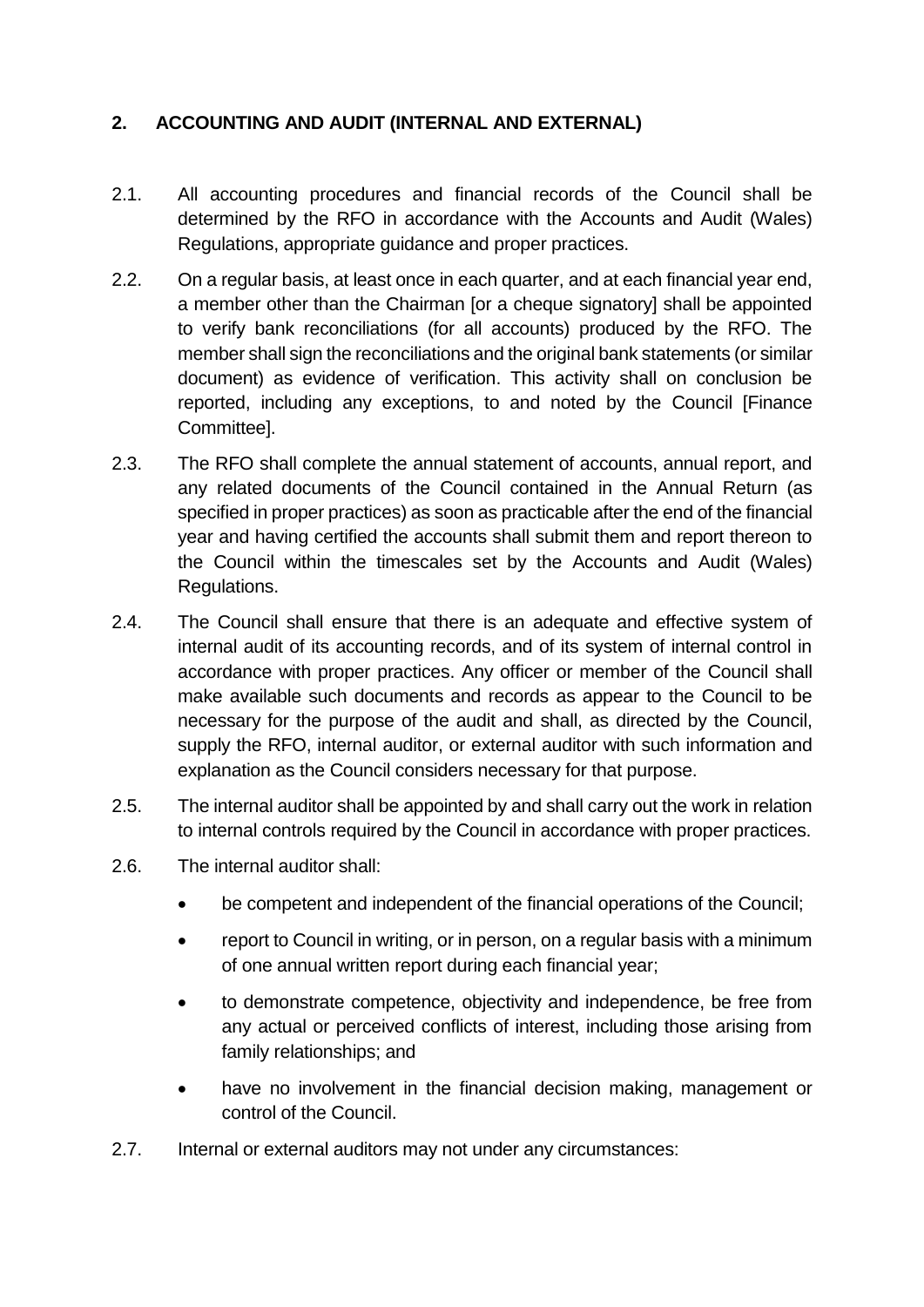## **2. ACCOUNTING AND AUDIT (INTERNAL AND EXTERNAL)**

- 2.1. All accounting procedures and financial records of the Council shall be determined by the RFO in accordance with the Accounts and Audit (Wales) Regulations, appropriate guidance and proper practices.
- 2.2. On a regular basis, at least once in each quarter, and at each financial year end, a member other than the Chairman [or a cheque signatory] shall be appointed to verify bank reconciliations (for all accounts) produced by the RFO. The member shall sign the reconciliations and the original bank statements (or similar document) as evidence of verification. This activity shall on conclusion be reported, including any exceptions, to and noted by the Council [Finance Committee].
- 2.3. The RFO shall complete the annual statement of accounts, annual report, and any related documents of the Council contained in the Annual Return (as specified in proper practices) as soon as practicable after the end of the financial year and having certified the accounts shall submit them and report thereon to the Council within the timescales set by the Accounts and Audit (Wales) Regulations.
- 2.4. The Council shall ensure that there is an adequate and effective system of internal audit of its accounting records, and of its system of internal control in accordance with proper practices. Any officer or member of the Council shall make available such documents and records as appear to the Council to be necessary for the purpose of the audit and shall, as directed by the Council, supply the RFO, internal auditor, or external auditor with such information and explanation as the Council considers necessary for that purpose.
- 2.5. The internal auditor shall be appointed by and shall carry out the work in relation to internal controls required by the Council in accordance with proper practices.
- 2.6. The internal auditor shall:
	- be competent and independent of the financial operations of the Council;
	- report to Council in writing, or in person, on a regular basis with a minimum of one annual written report during each financial year;
	- to demonstrate competence, objectivity and independence, be free from any actual or perceived conflicts of interest, including those arising from family relationships; and
	- have no involvement in the financial decision making, management or control of the Council.
- 2.7. Internal or external auditors may not under any circumstances: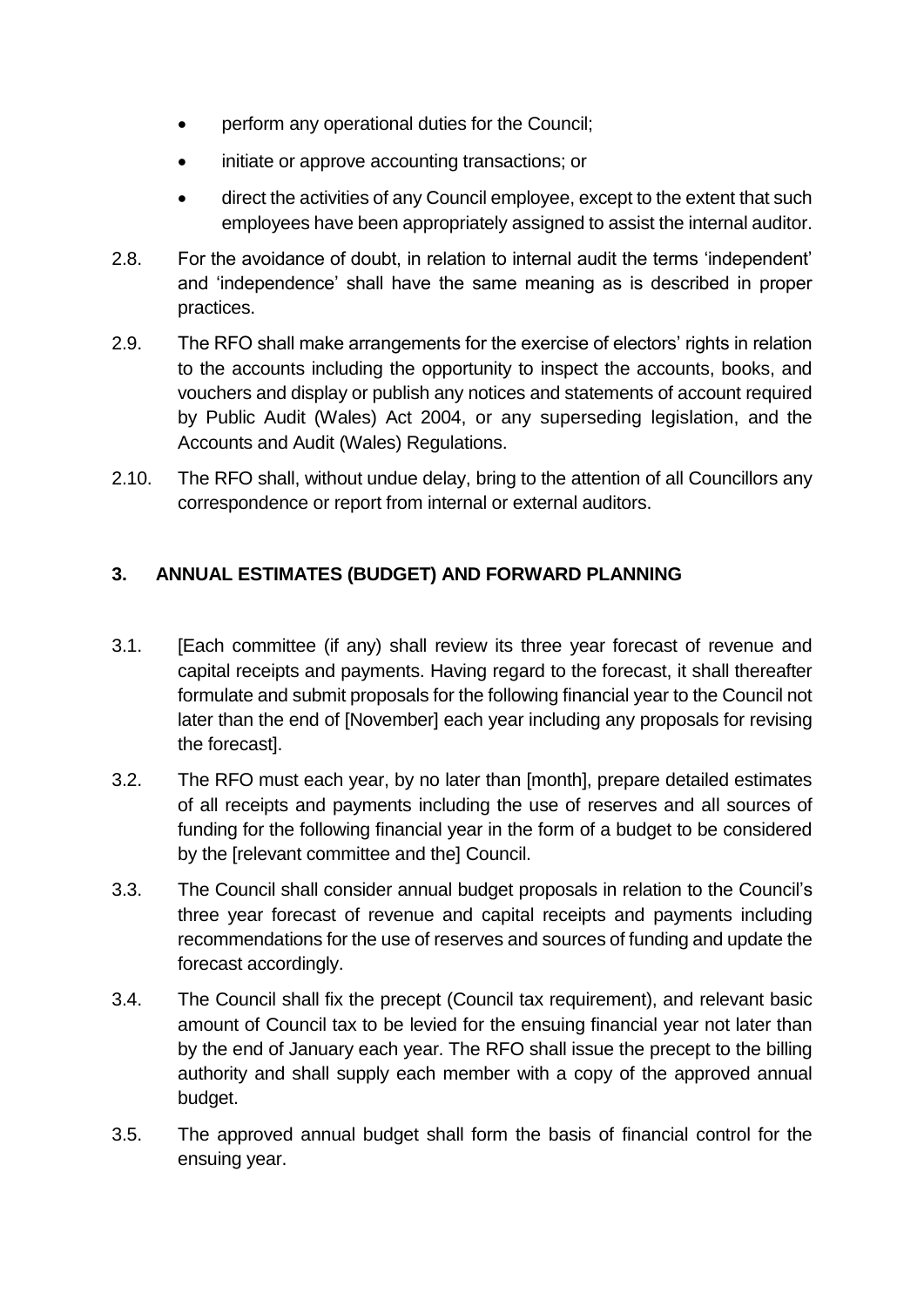- perform any operational duties for the Council;
- initiate or approve accounting transactions; or
- direct the activities of any Council employee, except to the extent that such employees have been appropriately assigned to assist the internal auditor.
- 2.8. For the avoidance of doubt, in relation to internal audit the terms 'independent' and 'independence' shall have the same meaning as is described in proper practices.
- 2.9. The RFO shall make arrangements for the exercise of electors' rights in relation to the accounts including the opportunity to inspect the accounts, books, and vouchers and display or publish any notices and statements of account required by Public Audit (Wales) Act 2004, or any superseding legislation, and the Accounts and Audit (Wales) Regulations.
- 2.10. The RFO shall, without undue delay, bring to the attention of all Councillors any correspondence or report from internal or external auditors.

## **3. ANNUAL ESTIMATES (BUDGET) AND FORWARD PLANNING**

- 3.1. [Each committee (if any) shall review its three year forecast of revenue and capital receipts and payments. Having regard to the forecast, it shall thereafter formulate and submit proposals for the following financial year to the Council not later than the end of [November] each year including any proposals for revising the forecast].
- 3.2. The RFO must each year, by no later than [month], prepare detailed estimates of all receipts and payments including the use of reserves and all sources of funding for the following financial year in the form of a budget to be considered by the [relevant committee and the] Council.
- 3.3. The Council shall consider annual budget proposals in relation to the Council's three year forecast of revenue and capital receipts and payments including recommendations for the use of reserves and sources of funding and update the forecast accordingly.
- 3.4. The Council shall fix the precept (Council tax requirement), and relevant basic amount of Council tax to be levied for the ensuing financial year not later than by the end of January each year. The RFO shall issue the precept to the billing authority and shall supply each member with a copy of the approved annual budget.
- 3.5. The approved annual budget shall form the basis of financial control for the ensuing year.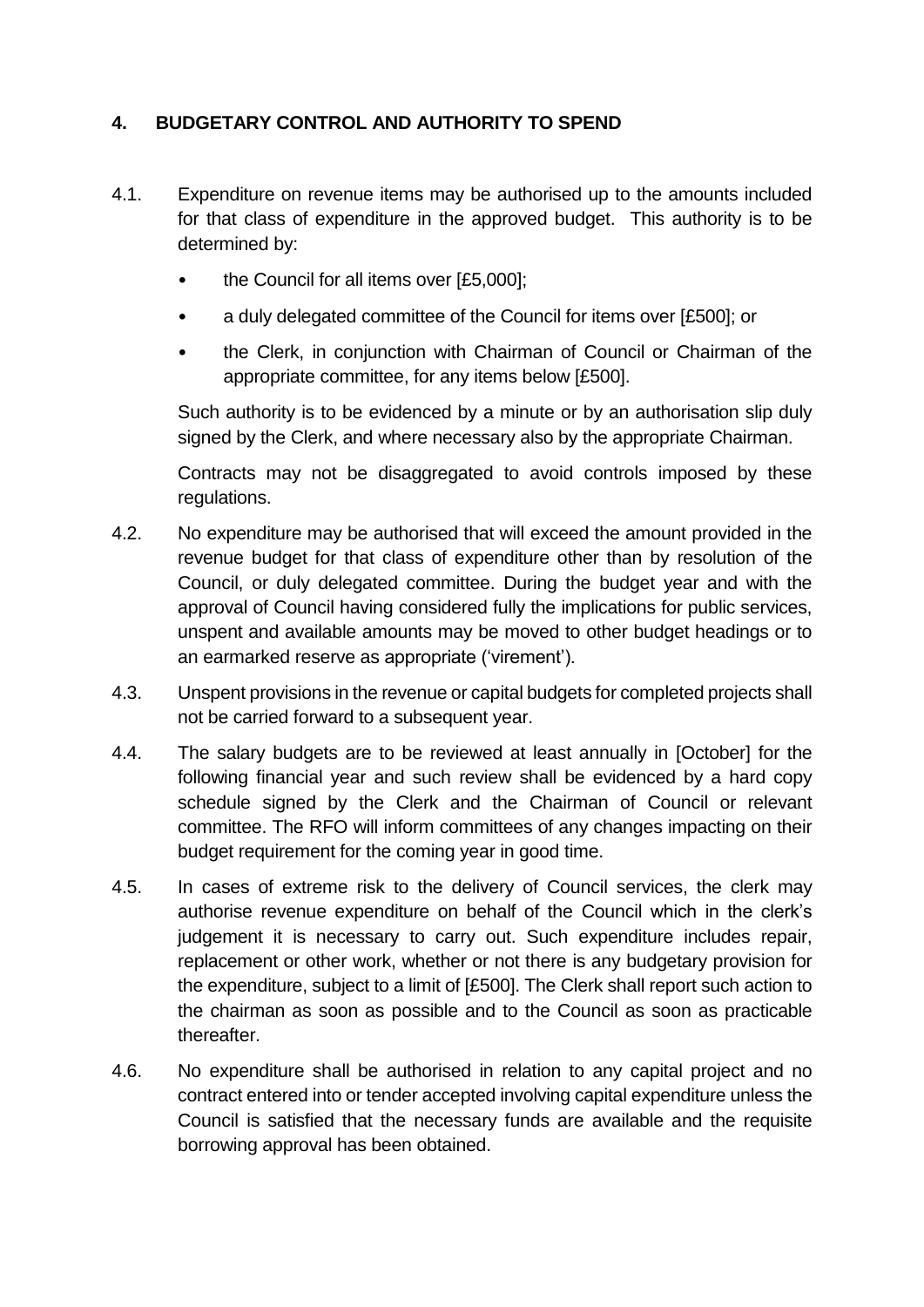## **4. BUDGETARY CONTROL AND AUTHORITY TO SPEND**

- 4.1. Expenditure on revenue items may be authorised up to the amounts included for that class of expenditure in the approved budget. This authority is to be determined by:
	- the Council for all items over [£5,000];
	- a duly delegated committee of the Council for items over [£500]; or
	- the Clerk, in conjunction with Chairman of Council or Chairman of the appropriate committee, for any items below [£500].

Such authority is to be evidenced by a minute or by an authorisation slip duly signed by the Clerk, and where necessary also by the appropriate Chairman.

Contracts may not be disaggregated to avoid controls imposed by these regulations.

- 4.2. No expenditure may be authorised that will exceed the amount provided in the revenue budget for that class of expenditure other than by resolution of the Council, or duly delegated committee. During the budget year and with the approval of Council having considered fully the implications for public services, unspent and available amounts may be moved to other budget headings or to an earmarked reserve as appropriate ('virement').
- 4.3. Unspent provisions in the revenue or capital budgets for completed projects shall not be carried forward to a subsequent year.
- 4.4. The salary budgets are to be reviewed at least annually in [October] for the following financial year and such review shall be evidenced by a hard copy schedule signed by the Clerk and the Chairman of Council or relevant committee. The RFO will inform committees of any changes impacting on their budget requirement for the coming year in good time.
- 4.5. In cases of extreme risk to the delivery of Council services, the clerk may authorise revenue expenditure on behalf of the Council which in the clerk's judgement it is necessary to carry out. Such expenditure includes repair, replacement or other work, whether or not there is any budgetary provision for the expenditure, subject to a limit of [£500]. The Clerk shall report such action to the chairman as soon as possible and to the Council as soon as practicable thereafter.
- 4.6. No expenditure shall be authorised in relation to any capital project and no contract entered into or tender accepted involving capital expenditure unless the Council is satisfied that the necessary funds are available and the requisite borrowing approval has been obtained.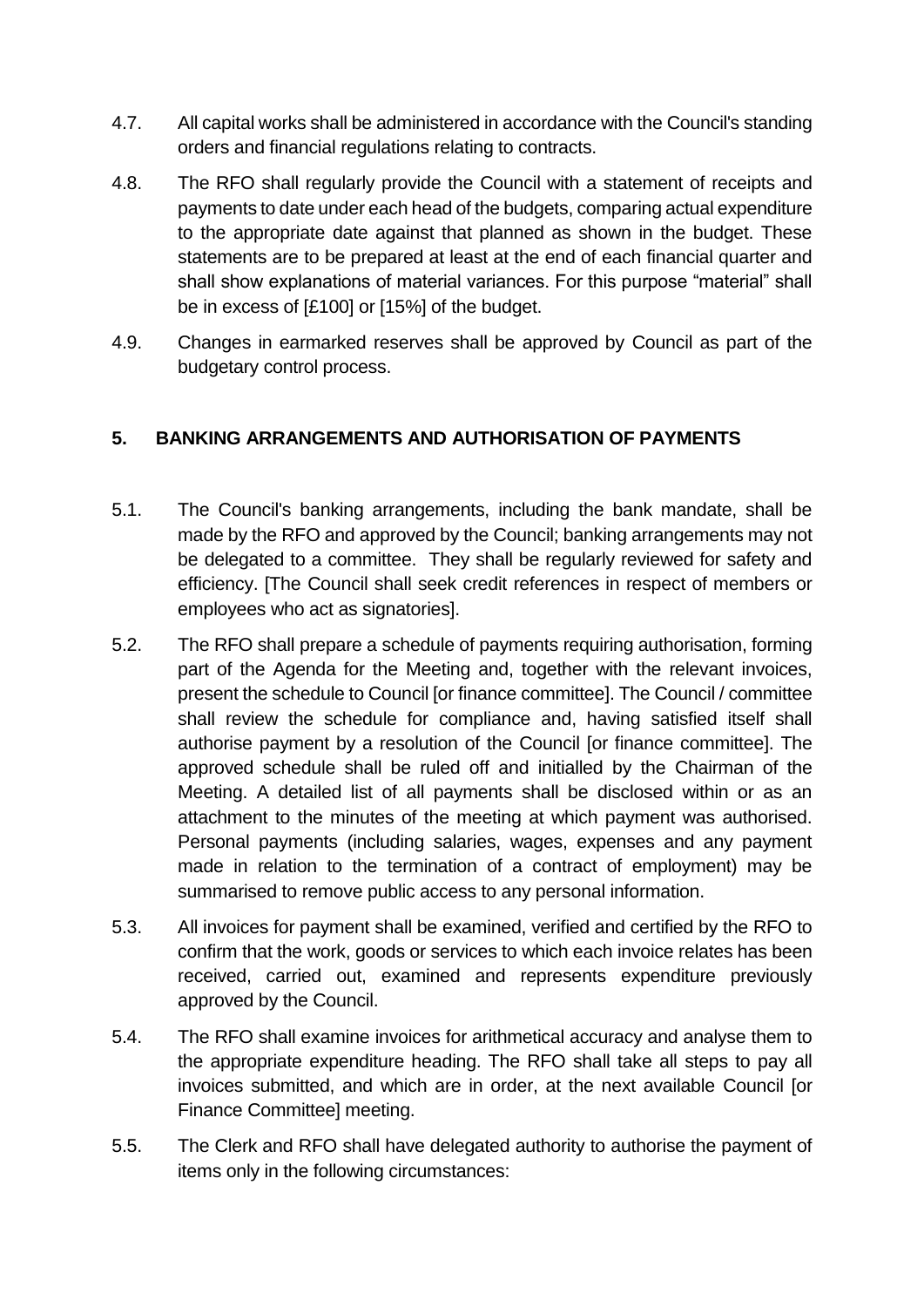- 4.7. All capital works shall be administered in accordance with the Council's standing orders and financial regulations relating to contracts.
- 4.8. The RFO shall regularly provide the Council with a statement of receipts and payments to date under each head of the budgets, comparing actual expenditure to the appropriate date against that planned as shown in the budget. These statements are to be prepared at least at the end of each financial quarter and shall show explanations of material variances. For this purpose "material" shall be in excess of [£100] or [15%] of the budget.
- 4.9. Changes in earmarked reserves shall be approved by Council as part of the budgetary control process.

## **5. BANKING ARRANGEMENTS AND AUTHORISATION OF PAYMENTS**

- 5.1. The Council's banking arrangements, including the bank mandate, shall be made by the RFO and approved by the Council; banking arrangements may not be delegated to a committee. They shall be regularly reviewed for safety and efficiency. [The Council shall seek credit references in respect of members or employees who act as signatories].
- 5.2. The RFO shall prepare a schedule of payments requiring authorisation, forming part of the Agenda for the Meeting and, together with the relevant invoices, present the schedule to Council [or finance committee]. The Council / committee shall review the schedule for compliance and, having satisfied itself shall authorise payment by a resolution of the Council [or finance committee]. The approved schedule shall be ruled off and initialled by the Chairman of the Meeting. A detailed list of all payments shall be disclosed within or as an attachment to the minutes of the meeting at which payment was authorised. Personal payments (including salaries, wages, expenses and any payment made in relation to the termination of a contract of employment) may be summarised to remove public access to any personal information.
- 5.3. All invoices for payment shall be examined, verified and certified by the RFO to confirm that the work, goods or services to which each invoice relates has been received, carried out, examined and represents expenditure previously approved by the Council.
- 5.4. The RFO shall examine invoices for arithmetical accuracy and analyse them to the appropriate expenditure heading. The RFO shall take all steps to pay all invoices submitted, and which are in order, at the next available Council [or Finance Committee] meeting.
- 5.5. The Clerk and RFO shall have delegated authority to authorise the payment of items only in the following circumstances: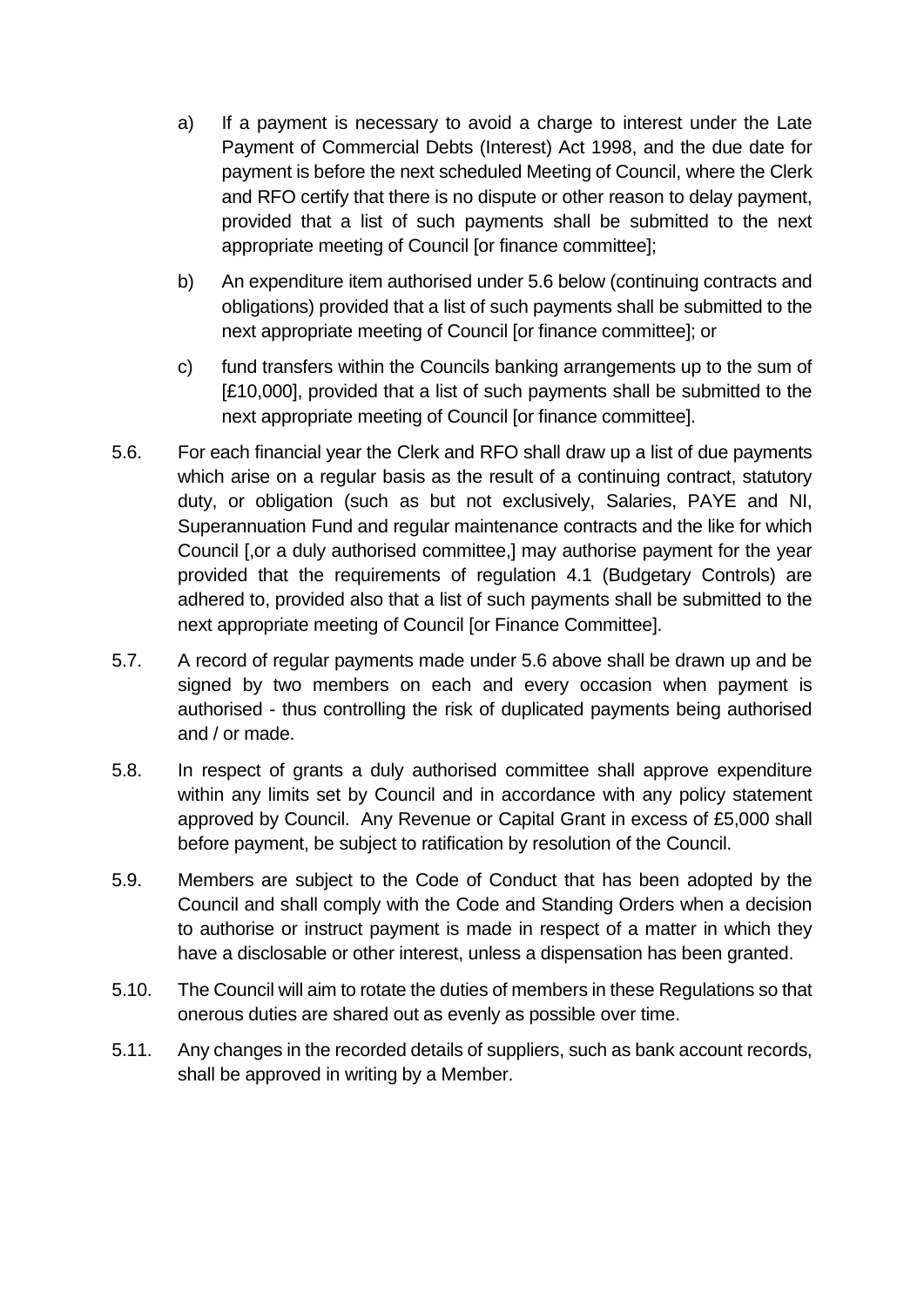- a) If a payment is necessary to avoid a charge to interest under the Late Payment of Commercial Debts (Interest) Act 1998, and the due date for payment is before the next scheduled Meeting of Council, where the Clerk and RFO certify that there is no dispute or other reason to delay payment, provided that a list of such payments shall be submitted to the next appropriate meeting of Council [or finance committee];
- b) An expenditure item authorised under 5.6 below (continuing contracts and obligations) provided that a list of such payments shall be submitted to the next appropriate meeting of Council [or finance committee]; or
- c) fund transfers within the Councils banking arrangements up to the sum of [£10,000], provided that a list of such payments shall be submitted to the next appropriate meeting of Council [or finance committee].
- 5.6. For each financial year the Clerk and RFO shall draw up a list of due payments which arise on a regular basis as the result of a continuing contract, statutory duty, or obligation (such as but not exclusively, Salaries, PAYE and NI, Superannuation Fund and regular maintenance contracts and the like for which Council [,or a duly authorised committee,] may authorise payment for the year provided that the requirements of regulation 4.1 (Budgetary Controls) are adhered to, provided also that a list of such payments shall be submitted to the next appropriate meeting of Council [or Finance Committee].
- 5.7. A record of regular payments made under 5.6 above shall be drawn up and be signed by two members on each and every occasion when payment is authorised - thus controlling the risk of duplicated payments being authorised and / or made.
- 5.8. In respect of grants a duly authorised committee shall approve expenditure within any limits set by Council and in accordance with any policy statement approved by Council. Any Revenue or Capital Grant in excess of £5,000 shall before payment, be subject to ratification by resolution of the Council.
- 5.9. Members are subject to the Code of Conduct that has been adopted by the Council and shall comply with the Code and Standing Orders when a decision to authorise or instruct payment is made in respect of a matter in which they have a disclosable or other interest, unless a dispensation has been granted.
- 5.10. The Council will aim to rotate the duties of members in these Regulations so that onerous duties are shared out as evenly as possible over time.
- 5.11. Any changes in the recorded details of suppliers, such as bank account records, shall be approved in writing by a Member.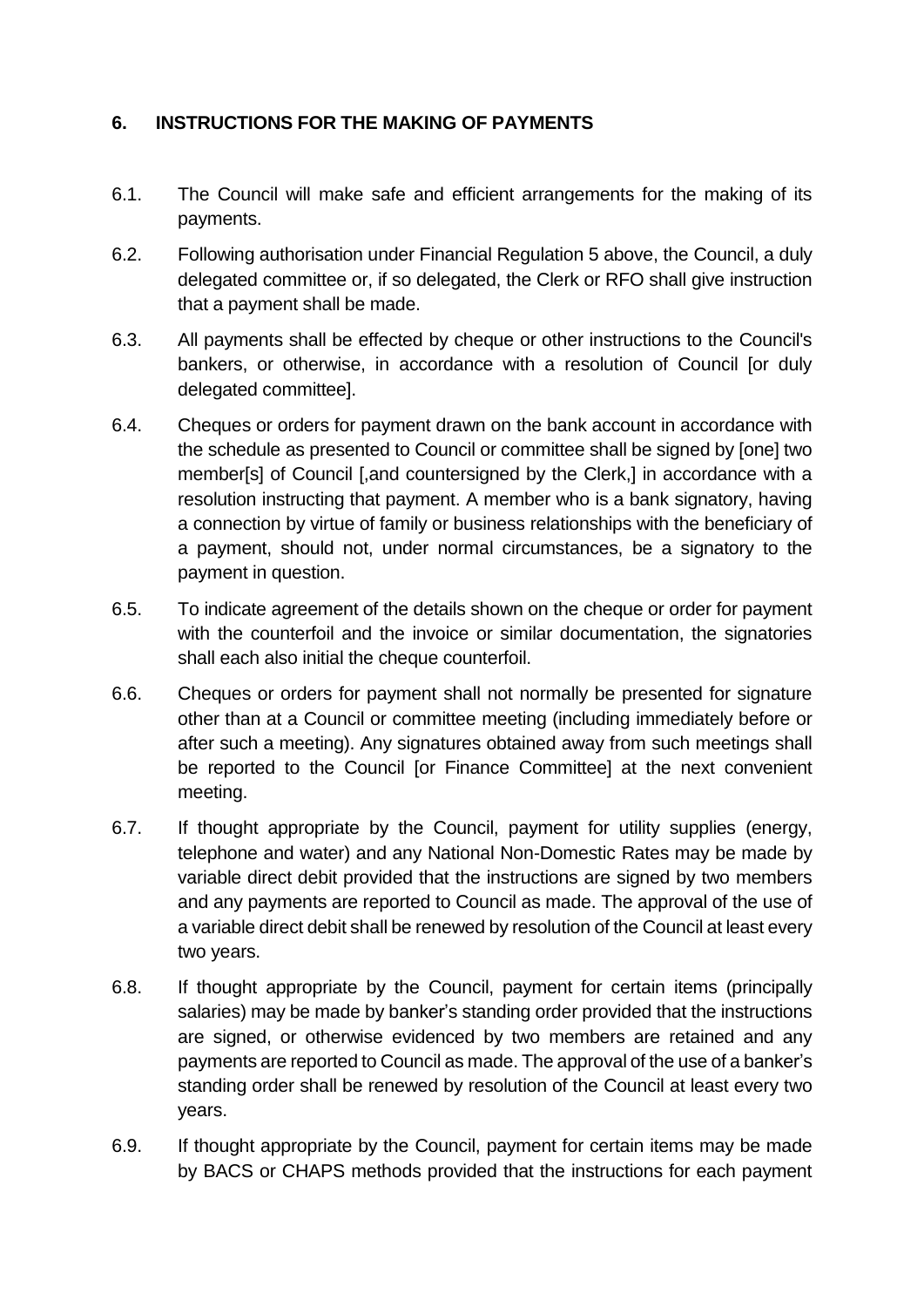## **6. INSTRUCTIONS FOR THE MAKING OF PAYMENTS**

- 6.1. The Council will make safe and efficient arrangements for the making of its payments.
- 6.2. Following authorisation under Financial Regulation 5 above, the Council, a duly delegated committee or, if so delegated, the Clerk or RFO shall give instruction that a payment shall be made.
- 6.3. All payments shall be effected by cheque or other instructions to the Council's bankers, or otherwise, in accordance with a resolution of Council [or duly delegated committee].
- 6.4. Cheques or orders for payment drawn on the bank account in accordance with the schedule as presented to Council or committee shall be signed by [one] two member[s] of Council [,and countersigned by the Clerk,] in accordance with a resolution instructing that payment. A member who is a bank signatory, having a connection by virtue of family or business relationships with the beneficiary of a payment, should not, under normal circumstances, be a signatory to the payment in question.
- 6.5. To indicate agreement of the details shown on the cheque or order for payment with the counterfoil and the invoice or similar documentation, the signatories shall each also initial the cheque counterfoil.
- 6.6. Cheques or orders for payment shall not normally be presented for signature other than at a Council or committee meeting (including immediately before or after such a meeting). Any signatures obtained away from such meetings shall be reported to the Council [or Finance Committee] at the next convenient meeting.
- 6.7. If thought appropriate by the Council, payment for utility supplies (energy, telephone and water) and any National Non-Domestic Rates may be made by variable direct debit provided that the instructions are signed by two members and any payments are reported to Council as made. The approval of the use of a variable direct debit shall be renewed by resolution of the Council at least every two years.
- 6.8. If thought appropriate by the Council, payment for certain items (principally salaries) may be made by banker's standing order provided that the instructions are signed, or otherwise evidenced by two members are retained and any payments are reported to Council as made. The approval of the use of a banker's standing order shall be renewed by resolution of the Council at least every two years.
- 6.9. If thought appropriate by the Council, payment for certain items may be made by BACS or CHAPS methods provided that the instructions for each payment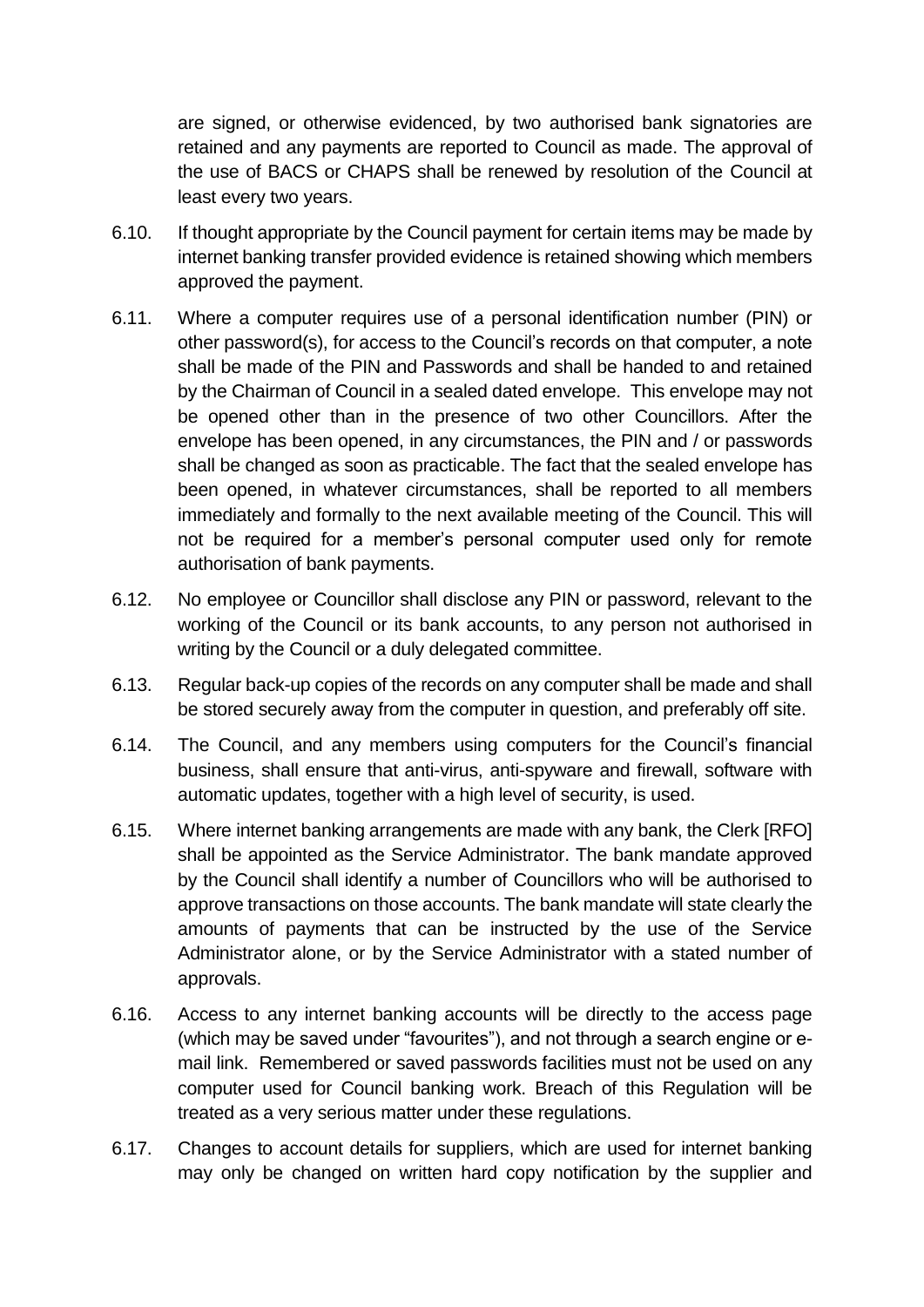are signed, or otherwise evidenced, by two authorised bank signatories are retained and any payments are reported to Council as made. The approval of the use of BACS or CHAPS shall be renewed by resolution of the Council at least every two years.

- 6.10. If thought appropriate by the Council payment for certain items may be made by internet banking transfer provided evidence is retained showing which members approved the payment.
- 6.11. Where a computer requires use of a personal identification number (PIN) or other password(s), for access to the Council's records on that computer, a note shall be made of the PIN and Passwords and shall be handed to and retained by the Chairman of Council in a sealed dated envelope. This envelope may not be opened other than in the presence of two other Councillors. After the envelope has been opened, in any circumstances, the PIN and / or passwords shall be changed as soon as practicable. The fact that the sealed envelope has been opened, in whatever circumstances, shall be reported to all members immediately and formally to the next available meeting of the Council. This will not be required for a member's personal computer used only for remote authorisation of bank payments.
- 6.12. No employee or Councillor shall disclose any PIN or password, relevant to the working of the Council or its bank accounts, to any person not authorised in writing by the Council or a duly delegated committee.
- 6.13. Regular back-up copies of the records on any computer shall be made and shall be stored securely away from the computer in question, and preferably off site.
- 6.14. The Council, and any members using computers for the Council's financial business, shall ensure that anti-virus, anti-spyware and firewall, software with automatic updates, together with a high level of security, is used.
- 6.15. Where internet banking arrangements are made with any bank, the Clerk [RFO] shall be appointed as the Service Administrator. The bank mandate approved by the Council shall identify a number of Councillors who will be authorised to approve transactions on those accounts. The bank mandate will state clearly the amounts of payments that can be instructed by the use of the Service Administrator alone, or by the Service Administrator with a stated number of approvals.
- 6.16. Access to any internet banking accounts will be directly to the access page (which may be saved under "favourites"), and not through a search engine or email link. Remembered or saved passwords facilities must not be used on any computer used for Council banking work. Breach of this Regulation will be treated as a very serious matter under these regulations.
- 6.17. Changes to account details for suppliers, which are used for internet banking may only be changed on written hard copy notification by the supplier and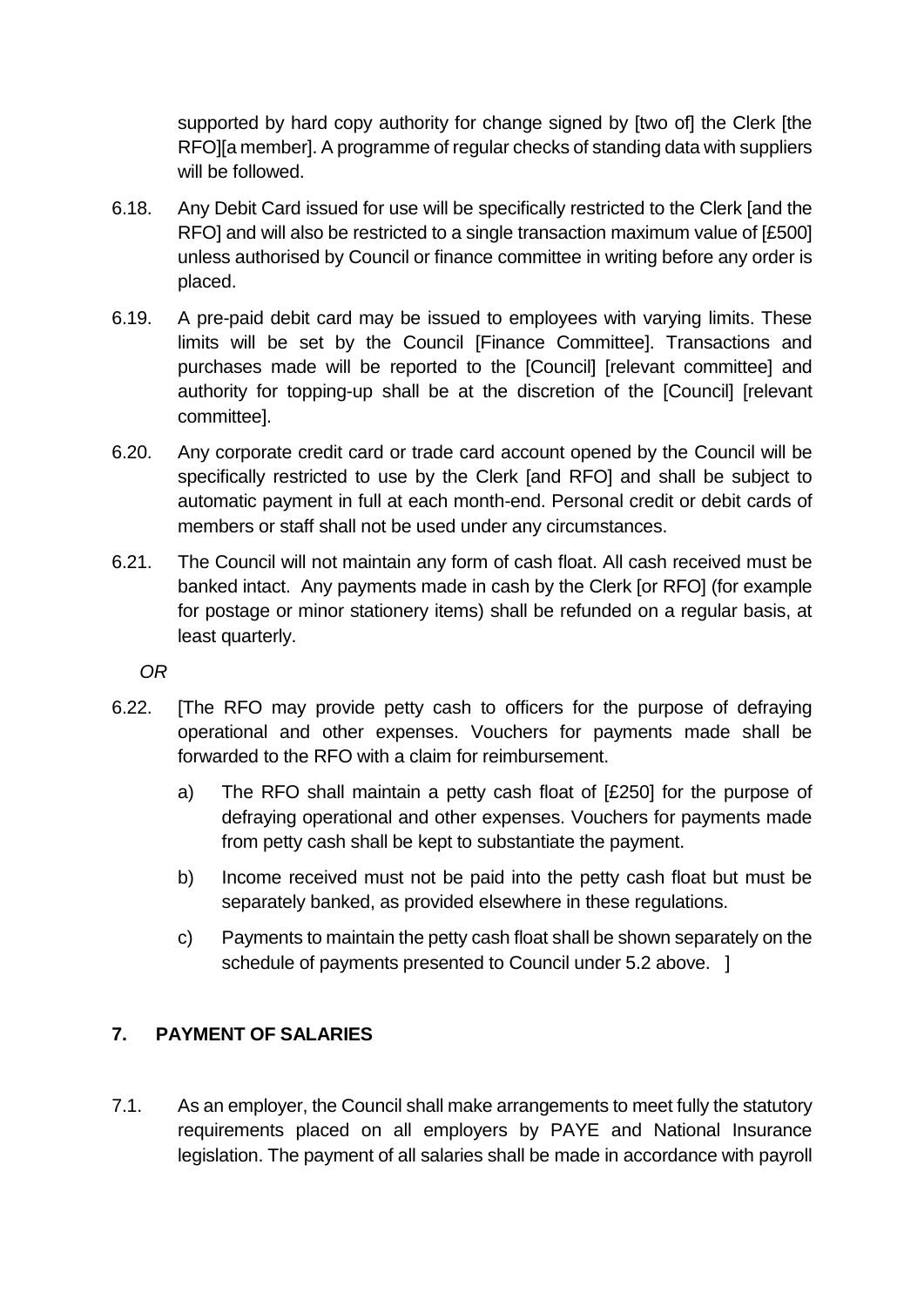supported by hard copy authority for change signed by [two of] the Clerk [the RFO][a member]. A programme of regular checks of standing data with suppliers will be followed.

- 6.18. Any Debit Card issued for use will be specifically restricted to the Clerk [and the RFO] and will also be restricted to a single transaction maximum value of [£500] unless authorised by Council or finance committee in writing before any order is placed.
- 6.19. A pre-paid debit card may be issued to employees with varying limits. These limits will be set by the Council [Finance Committee]. Transactions and purchases made will be reported to the [Council] [relevant committee] and authority for topping-up shall be at the discretion of the [Council] [relevant committee].
- 6.20. Any corporate credit card or trade card account opened by the Council will be specifically restricted to use by the Clerk [and RFO] and shall be subject to automatic payment in full at each month-end. Personal credit or debit cards of members or staff shall not be used under any circumstances.
- 6.21. The Council will not maintain any form of cash float. All cash received must be banked intact. Any payments made in cash by the Clerk [or RFO] (for example for postage or minor stationery items) shall be refunded on a regular basis, at least quarterly.

*OR* 

- 6.22. [The RFO may provide petty cash to officers for the purpose of defraying operational and other expenses. Vouchers for payments made shall be forwarded to the RFO with a claim for reimbursement.
	- a) The RFO shall maintain a petty cash float of [£250] for the purpose of defraying operational and other expenses. Vouchers for payments made from petty cash shall be kept to substantiate the payment.
	- b) Income received must not be paid into the petty cash float but must be separately banked, as provided elsewhere in these regulations.
	- c) Payments to maintain the petty cash float shall be shown separately on the schedule of payments presented to Council under 5.2 above. 1

## **7. PAYMENT OF SALARIES**

7.1. As an employer, the Council shall make arrangements to meet fully the statutory requirements placed on all employers by PAYE and National Insurance legislation. The payment of all salaries shall be made in accordance with payroll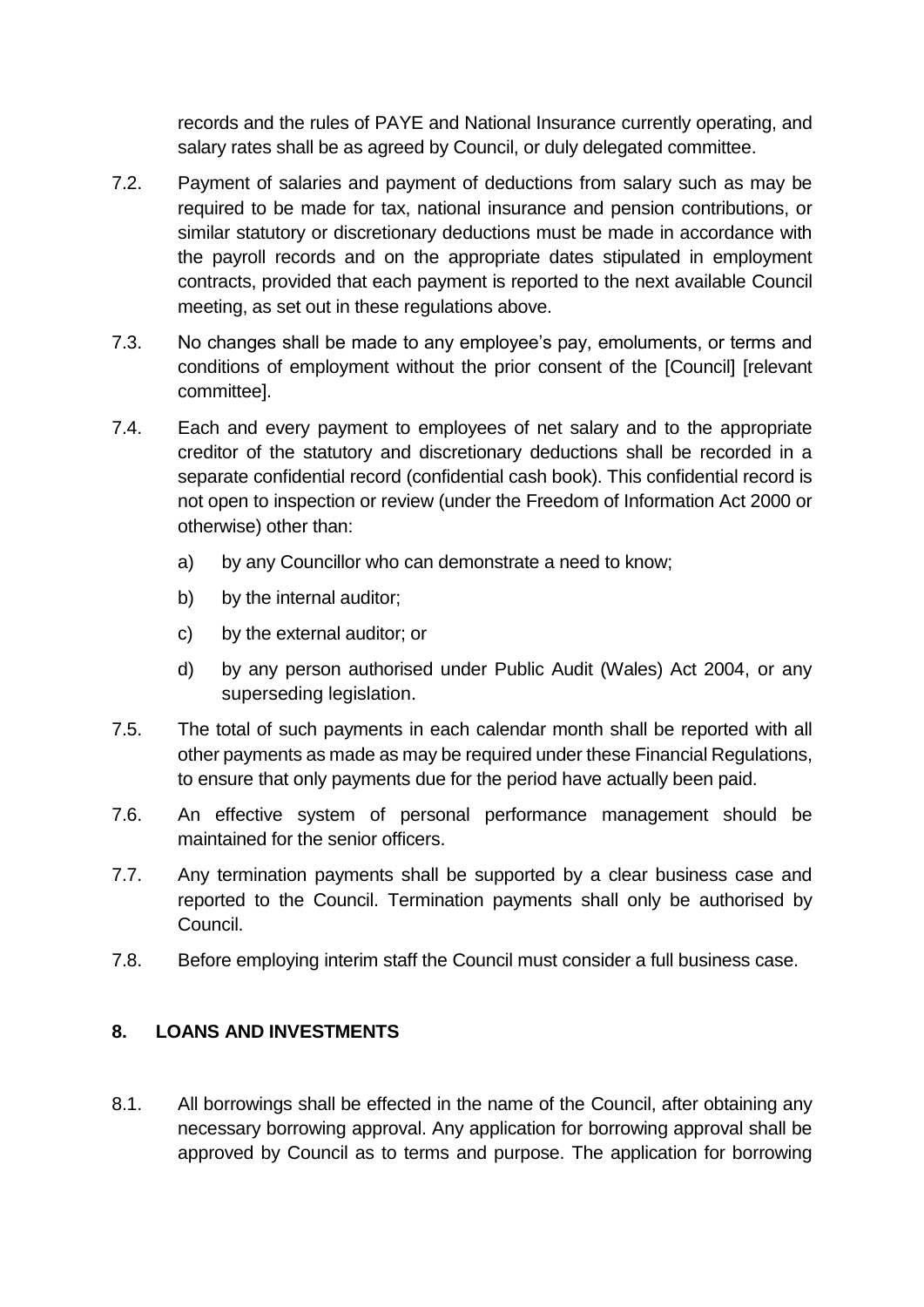records and the rules of PAYE and National Insurance currently operating, and salary rates shall be as agreed by Council, or duly delegated committee.

- 7.2. Payment of salaries and payment of deductions from salary such as may be required to be made for tax, national insurance and pension contributions, or similar statutory or discretionary deductions must be made in accordance with the payroll records and on the appropriate dates stipulated in employment contracts, provided that each payment is reported to the next available Council meeting, as set out in these regulations above.
- 7.3. No changes shall be made to any employee's pay, emoluments, or terms and conditions of employment without the prior consent of the [Council] [relevant committee].
- 7.4. Each and every payment to employees of net salary and to the appropriate creditor of the statutory and discretionary deductions shall be recorded in a separate confidential record (confidential cash book). This confidential record is not open to inspection or review (under the Freedom of Information Act 2000 or otherwise) other than:
	- a) by any Councillor who can demonstrate a need to know;
	- b) by the internal auditor;
	- c) by the external auditor; or
	- d) by any person authorised under Public Audit (Wales) Act 2004, or any superseding legislation.
- 7.5. The total of such payments in each calendar month shall be reported with all other payments as made as may be required under these Financial Regulations, to ensure that only payments due for the period have actually been paid.
- 7.6. An effective system of personal performance management should be maintained for the senior officers.
- 7.7. Any termination payments shall be supported by a clear business case and reported to the Council. Termination payments shall only be authorised by Council.
- 7.8. Before employing interim staff the Council must consider a full business case.

## **8. LOANS AND INVESTMENTS**

8.1. All borrowings shall be effected in the name of the Council, after obtaining any necessary borrowing approval. Any application for borrowing approval shall be approved by Council as to terms and purpose. The application for borrowing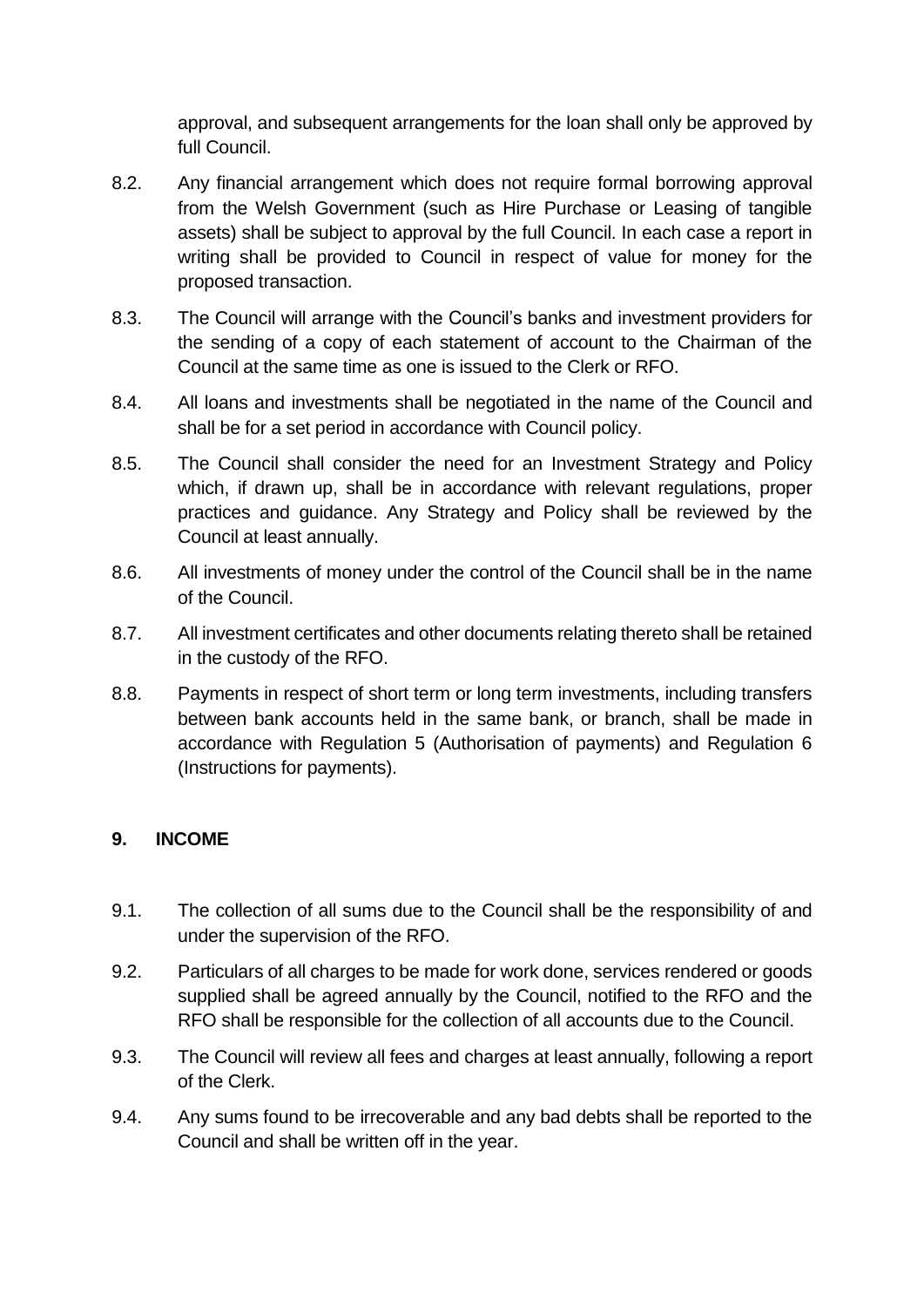approval, and subsequent arrangements for the loan shall only be approved by full Council.

- 8.2. Any financial arrangement which does not require formal borrowing approval from the Welsh Government (such as Hire Purchase or Leasing of tangible assets) shall be subject to approval by the full Council. In each case a report in writing shall be provided to Council in respect of value for money for the proposed transaction.
- 8.3. The Council will arrange with the Council's banks and investment providers for the sending of a copy of each statement of account to the Chairman of the Council at the same time as one is issued to the Clerk or RFO.
- 8.4. All loans and investments shall be negotiated in the name of the Council and shall be for a set period in accordance with Council policy.
- 8.5. The Council shall consider the need for an Investment Strategy and Policy which, if drawn up, shall be in accordance with relevant regulations, proper practices and guidance. Any Strategy and Policy shall be reviewed by the Council at least annually.
- 8.6. All investments of money under the control of the Council shall be in the name of the Council.
- 8.7. All investment certificates and other documents relating thereto shall be retained in the custody of the RFO.
- 8.8. Payments in respect of short term or long term investments, including transfers between bank accounts held in the same bank, or branch, shall be made in accordance with Regulation 5 (Authorisation of payments) and Regulation 6 (Instructions for payments).

#### **9. INCOME**

- 9.1. The collection of all sums due to the Council shall be the responsibility of and under the supervision of the RFO.
- 9.2. Particulars of all charges to be made for work done, services rendered or goods supplied shall be agreed annually by the Council, notified to the RFO and the RFO shall be responsible for the collection of all accounts due to the Council.
- 9.3. The Council will review all fees and charges at least annually, following a report of the Clerk.
- 9.4. Any sums found to be irrecoverable and any bad debts shall be reported to the Council and shall be written off in the year.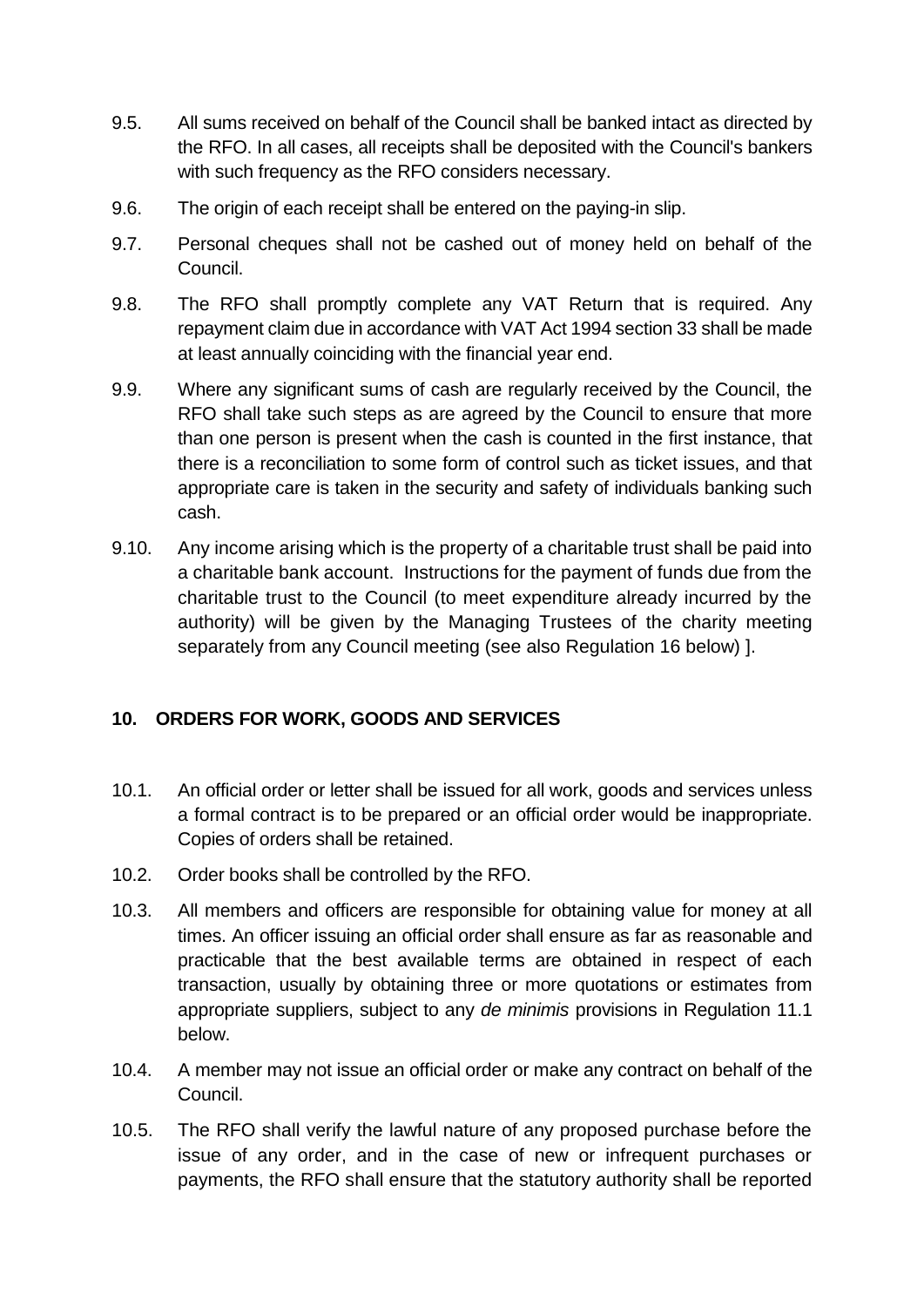- 9.5. All sums received on behalf of the Council shall be banked intact as directed by the RFO. In all cases, all receipts shall be deposited with the Council's bankers with such frequency as the RFO considers necessary.
- 9.6. The origin of each receipt shall be entered on the paying-in slip.
- 9.7. Personal cheques shall not be cashed out of money held on behalf of the Council.
- 9.8. The RFO shall promptly complete any VAT Return that is required. Any repayment claim due in accordance with VAT Act 1994 section 33 shall be made at least annually coinciding with the financial year end.
- 9.9. Where any significant sums of cash are regularly received by the Council, the RFO shall take such steps as are agreed by the Council to ensure that more than one person is present when the cash is counted in the first instance, that there is a reconciliation to some form of control such as ticket issues, and that appropriate care is taken in the security and safety of individuals banking such cash.
- 9.10. Any income arising which is the property of a charitable trust shall be paid into a charitable bank account. Instructions for the payment of funds due from the charitable trust to the Council (to meet expenditure already incurred by the authority) will be given by the Managing Trustees of the charity meeting separately from any Council meeting (see also Regulation 16 below) ].

#### **10. ORDERS FOR WORK, GOODS AND SERVICES**

- 10.1. An official order or letter shall be issued for all work, goods and services unless a formal contract is to be prepared or an official order would be inappropriate. Copies of orders shall be retained.
- 10.2. Order books shall be controlled by the RFO.
- 10.3. All members and officers are responsible for obtaining value for money at all times. An officer issuing an official order shall ensure as far as reasonable and practicable that the best available terms are obtained in respect of each transaction, usually by obtaining three or more quotations or estimates from appropriate suppliers, subject to any *de minimis* provisions in Regulation 11.1 below.
- 10.4. A member may not issue an official order or make any contract on behalf of the Council.
- 10.5. The RFO shall verify the lawful nature of any proposed purchase before the issue of any order, and in the case of new or infrequent purchases or payments, the RFO shall ensure that the statutory authority shall be reported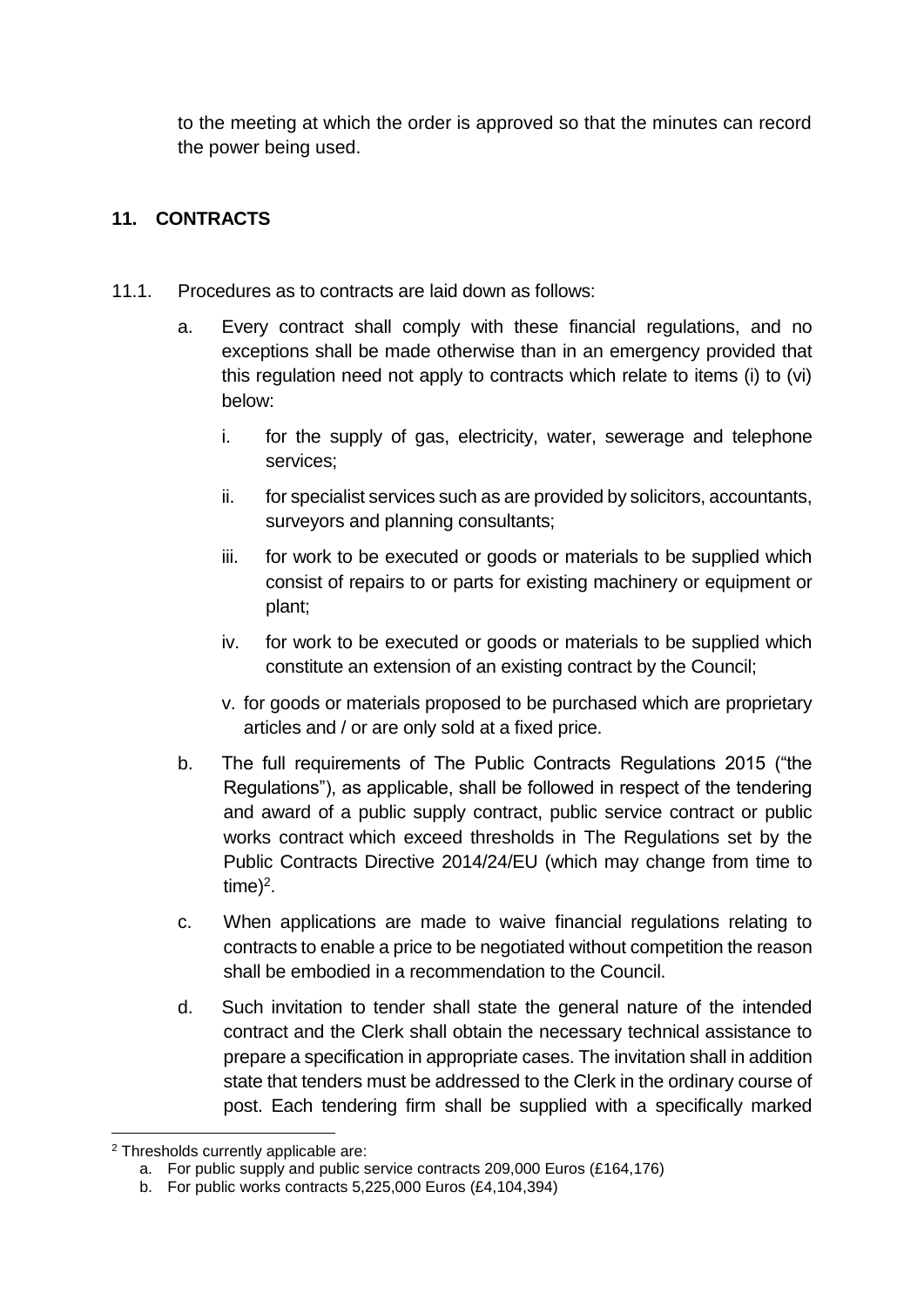to the meeting at which the order is approved so that the minutes can record the power being used.

## **11. CONTRACTS**

- 11.1. Procedures as to contracts are laid down as follows:
	- a. Every contract shall comply with these financial regulations, and no exceptions shall be made otherwise than in an emergency provided that this regulation need not apply to contracts which relate to items (i) to (vi) below:
		- i. for the supply of gas, electricity, water, sewerage and telephone services;
		- ii. for specialist services such as are provided by solicitors, accountants, surveyors and planning consultants;
		- iii. for work to be executed or goods or materials to be supplied which consist of repairs to or parts for existing machinery or equipment or plant;
		- iv. for work to be executed or goods or materials to be supplied which constitute an extension of an existing contract by the Council;
		- v. for goods or materials proposed to be purchased which are proprietary articles and / or are only sold at a fixed price.
	- b. The full requirements of The Public Contracts Regulations 2015 ("the Regulations"), as applicable, shall be followed in respect of the tendering and award of a public supply contract, public service contract or public works contract which exceed thresholds in The Regulations set by the Public Contracts Directive 2014/24/EU (which may change from time to  $time)^2$ .
	- c. When applications are made to waive financial regulations relating to contracts to enable a price to be negotiated without competition the reason shall be embodied in a recommendation to the Council.
	- d. Such invitation to tender shall state the general nature of the intended contract and the Clerk shall obtain the necessary technical assistance to prepare a specification in appropriate cases. The invitation shall in addition state that tenders must be addressed to the Clerk in the ordinary course of post. Each tendering firm shall be supplied with a specifically marked

<sup>1</sup> <sup>2</sup> Thresholds currently applicable are:

a. For public supply and public service contracts 209,000 Euros (£164,176)

b. For public works contracts 5,225,000 Euros (£4,104,394)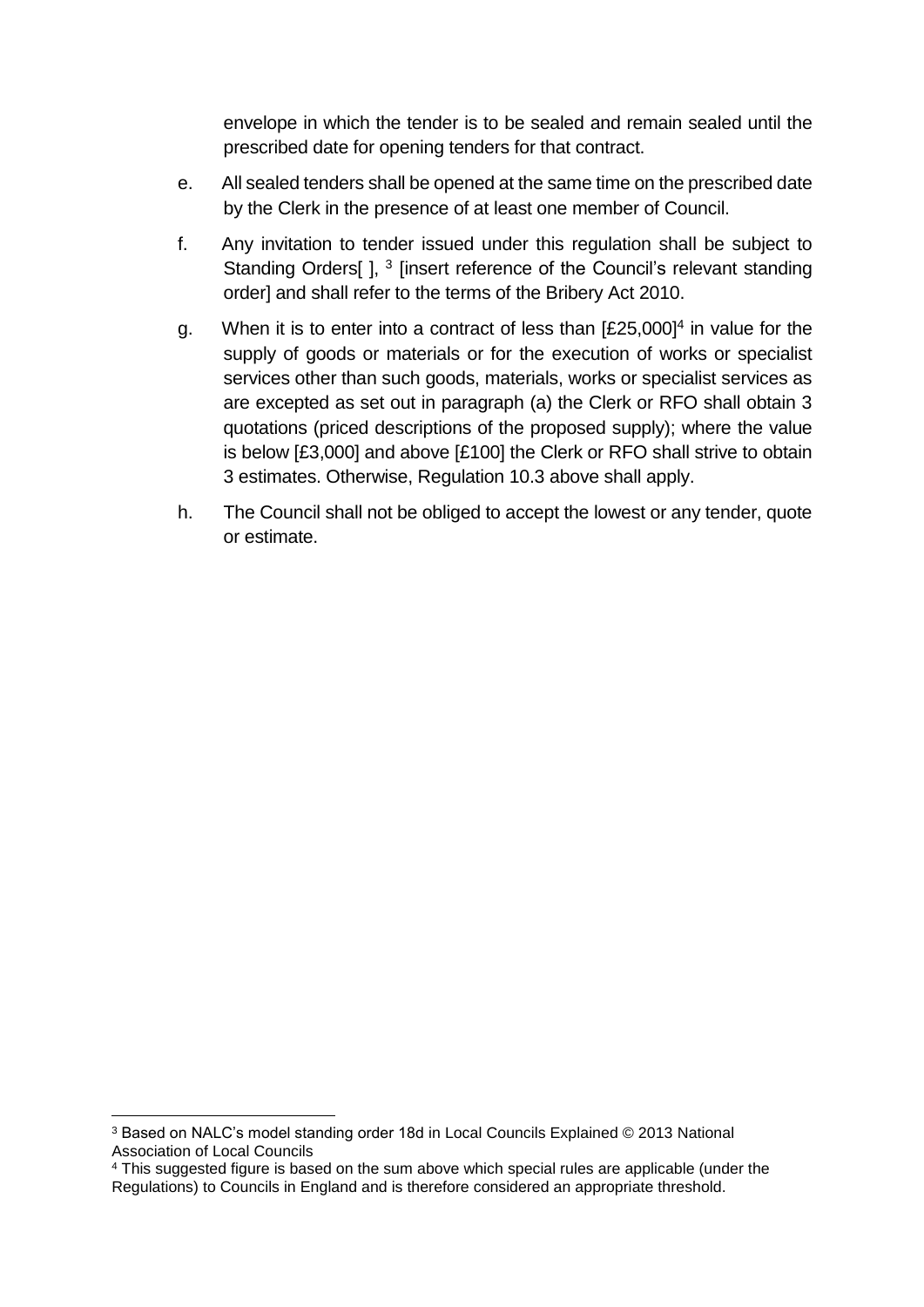envelope in which the tender is to be sealed and remain sealed until the prescribed date for opening tenders for that contract.

- e. All sealed tenders shall be opened at the same time on the prescribed date by the Clerk in the presence of at least one member of Council.
- f. Any invitation to tender issued under this regulation shall be subject to Standing Orders[], <sup>3</sup> [insert reference of the Council's relevant standing order] and shall refer to the terms of the Bribery Act 2010.
- g. When it is to enter into a contract of less than  $[£25,000]<sup>4</sup>$  in value for the supply of goods or materials or for the execution of works or specialist services other than such goods, materials, works or specialist services as are excepted as set out in paragraph (a) the Clerk or RFO shall obtain 3 quotations (priced descriptions of the proposed supply); where the value is below [£3,000] and above [£100] the Clerk or RFO shall strive to obtain 3 estimates. Otherwise, Regulation 10.3 above shall apply.
- h. The Council shall not be obliged to accept the lowest or any tender, quote or estimate.

1

<sup>3</sup> Based on NALC's model standing order 18d in Local Councils Explained © 2013 National Association of Local Councils

<sup>4</sup> This suggested figure is based on the sum above which special rules are applicable (under the Regulations) to Councils in England and is therefore considered an appropriate threshold.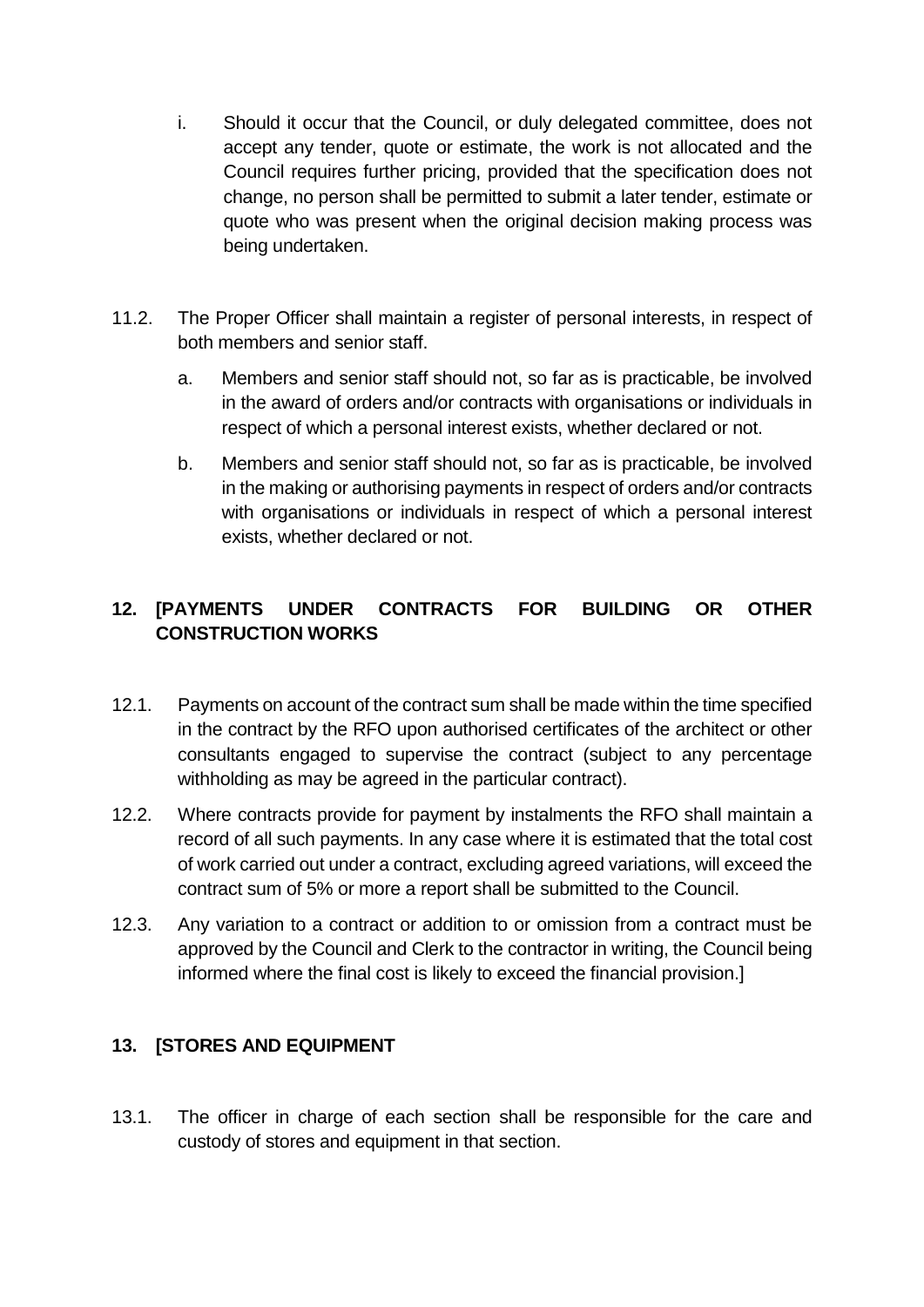- i. Should it occur that the Council, or duly delegated committee, does not accept any tender, quote or estimate, the work is not allocated and the Council requires further pricing, provided that the specification does not change, no person shall be permitted to submit a later tender, estimate or quote who was present when the original decision making process was being undertaken.
- 11.2. The Proper Officer shall maintain a register of personal interests, in respect of both members and senior staff.
	- a. Members and senior staff should not, so far as is practicable, be involved in the award of orders and/or contracts with organisations or individuals in respect of which a personal interest exists, whether declared or not.
	- b. Members and senior staff should not, so far as is practicable, be involved in the making or authorising payments in respect of orders and/or contracts with organisations or individuals in respect of which a personal interest exists, whether declared or not.

## **12. [PAYMENTS UNDER CONTRACTS FOR BUILDING OR OTHER CONSTRUCTION WORKS**

- 12.1. Payments on account of the contract sum shall be made within the time specified in the contract by the RFO upon authorised certificates of the architect or other consultants engaged to supervise the contract (subject to any percentage withholding as may be agreed in the particular contract).
- 12.2. Where contracts provide for payment by instalments the RFO shall maintain a record of all such payments. In any case where it is estimated that the total cost of work carried out under a contract, excluding agreed variations, will exceed the contract sum of 5% or more a report shall be submitted to the Council.
- 12.3. Any variation to a contract or addition to or omission from a contract must be approved by the Council and Clerk to the contractor in writing, the Council being informed where the final cost is likely to exceed the financial provision.]

## **13. [STORES AND EQUIPMENT**

13.1. The officer in charge of each section shall be responsible for the care and custody of stores and equipment in that section.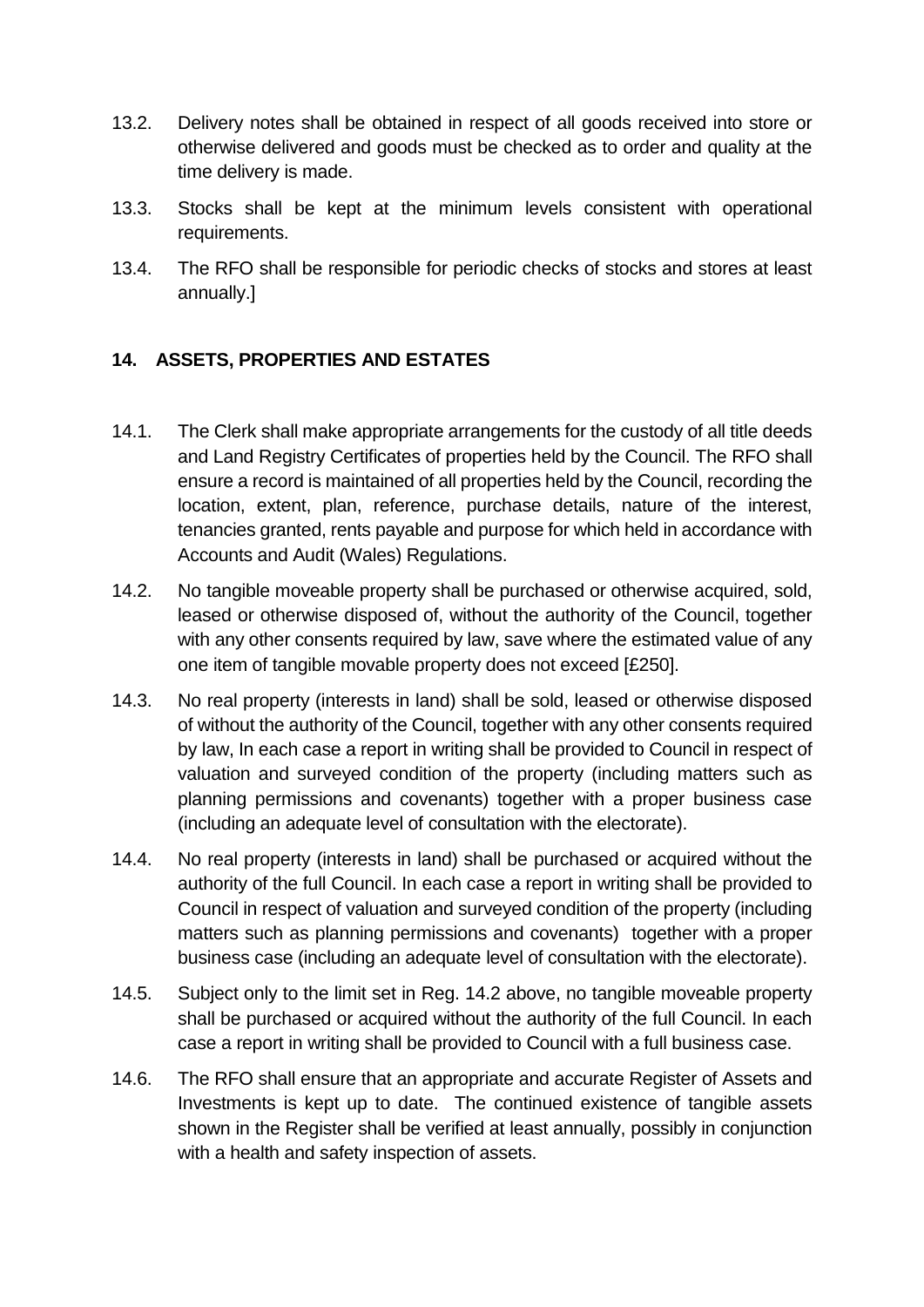- 13.2. Delivery notes shall be obtained in respect of all goods received into store or otherwise delivered and goods must be checked as to order and quality at the time delivery is made.
- 13.3. Stocks shall be kept at the minimum levels consistent with operational requirements.
- 13.4. The RFO shall be responsible for periodic checks of stocks and stores at least annually.]

## **14. ASSETS, PROPERTIES AND ESTATES**

- 14.1. The Clerk shall make appropriate arrangements for the custody of all title deeds and Land Registry Certificates of properties held by the Council. The RFO shall ensure a record is maintained of all properties held by the Council, recording the location, extent, plan, reference, purchase details, nature of the interest, tenancies granted, rents payable and purpose for which held in accordance with Accounts and Audit (Wales) Regulations.
- 14.2. No tangible moveable property shall be purchased or otherwise acquired, sold, leased or otherwise disposed of, without the authority of the Council, together with any other consents required by law, save where the estimated value of any one item of tangible movable property does not exceed [£250].
- 14.3. No real property (interests in land) shall be sold, leased or otherwise disposed of without the authority of the Council, together with any other consents required by law, In each case a report in writing shall be provided to Council in respect of valuation and surveyed condition of the property (including matters such as planning permissions and covenants) together with a proper business case (including an adequate level of consultation with the electorate).
- 14.4. No real property (interests in land) shall be purchased or acquired without the authority of the full Council. In each case a report in writing shall be provided to Council in respect of valuation and surveyed condition of the property (including matters such as planning permissions and covenants) together with a proper business case (including an adequate level of consultation with the electorate).
- 14.5. Subject only to the limit set in Reg. 14.2 above, no tangible moveable property shall be purchased or acquired without the authority of the full Council. In each case a report in writing shall be provided to Council with a full business case.
- 14.6. The RFO shall ensure that an appropriate and accurate Register of Assets and Investments is kept up to date. The continued existence of tangible assets shown in the Register shall be verified at least annually, possibly in conjunction with a health and safety inspection of assets.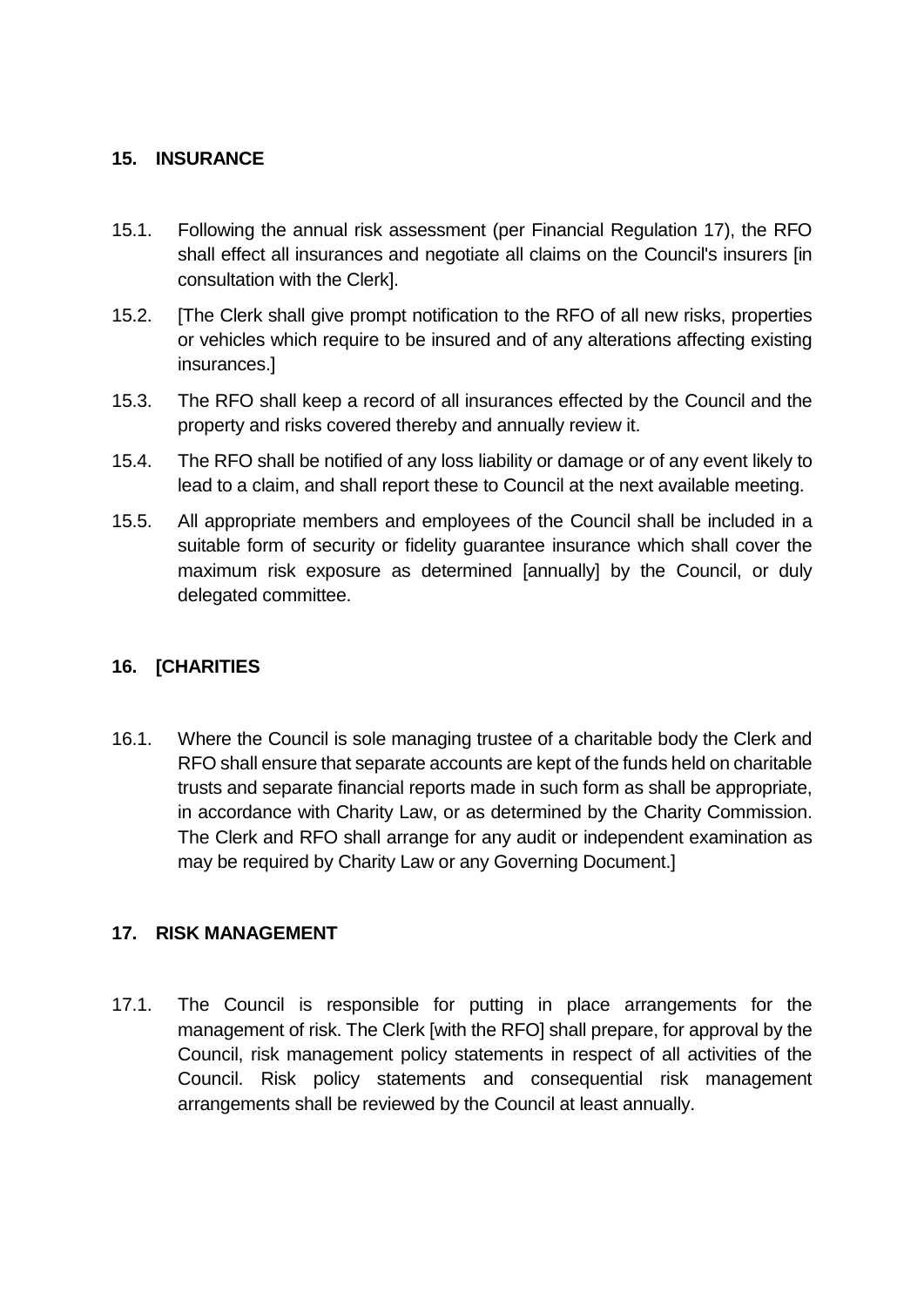#### **15. INSURANCE**

- 15.1. Following the annual risk assessment (per Financial Regulation 17), the RFO shall effect all insurances and negotiate all claims on the Council's insurers [in consultation with the Clerk].
- 15.2. [The Clerk shall give prompt notification to the RFO of all new risks, properties or vehicles which require to be insured and of any alterations affecting existing insurances.]
- 15.3. The RFO shall keep a record of all insurances effected by the Council and the property and risks covered thereby and annually review it.
- 15.4. The RFO shall be notified of any loss liability or damage or of any event likely to lead to a claim, and shall report these to Council at the next available meeting.
- 15.5. All appropriate members and employees of the Council shall be included in a suitable form of security or fidelity guarantee insurance which shall cover the maximum risk exposure as determined [annually] by the Council, or duly delegated committee.

#### **16. [CHARITIES**

16.1. Where the Council is sole managing trustee of a charitable body the Clerk and RFO shall ensure that separate accounts are kept of the funds held on charitable trusts and separate financial reports made in such form as shall be appropriate, in accordance with Charity Law, or as determined by the Charity Commission. The Clerk and RFO shall arrange for any audit or independent examination as may be required by Charity Law or any Governing Document.]

#### **17. RISK MANAGEMENT**

17.1. The Council is responsible for putting in place arrangements for the management of risk. The Clerk [with the RFO] shall prepare, for approval by the Council, risk management policy statements in respect of all activities of the Council. Risk policy statements and consequential risk management arrangements shall be reviewed by the Council at least annually.